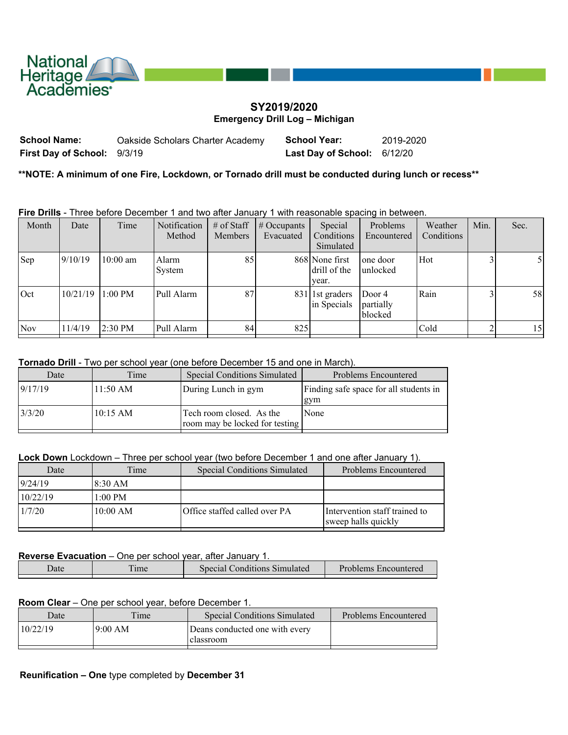

# **SY2019/2020 Emergency Drill Log – Michigan**

| School Name:                | Oakside Scholars Charter Academy | <b>School Year:</b>         | 2019-2020 |
|-----------------------------|----------------------------------|-----------------------------|-----------|
| First Day of School: 9/3/19 |                                  | Last Day of School: 6/12/20 |           |

**\*\*NOTE: A minimum of one Fire, Lockdown, or Tornado drill must be conducted during lunch or recess\*\***

**Fire Drills** - Three before December 1 and two after January 1 with reasonable spacing in between.

| Month      | Date     | Time              | <b>Notification</b><br>Method | $#$ of Staff<br><b>Members</b> | $\#$ Occupants<br>Evacuated | Special<br>Conditions<br>Simulated      | Problems<br>Encountered        | Weather<br>Conditions | Min. | Sec. |
|------------|----------|-------------------|-------------------------------|--------------------------------|-----------------------------|-----------------------------------------|--------------------------------|-----------------------|------|------|
| Sep        | 9/10/19  | $10:00$ am        | Alarm<br>System               | 85                             |                             | 868 None first<br>drill of the<br>year. | one door<br>unlocked           | Hot                   | 3    |      |
| Oct        | 10/21/19 | $1:00 \text{ PM}$ | Pull Alarm                    | 87                             |                             | 831 1st graders<br>in Specials          | Door 4<br>partially<br>blocked | Rain                  | 3    | 58   |
| <b>Nov</b> | 11/4/19  | $2:30$ PM         | Pull Alarm                    | 84                             | 825                         |                                         |                                | Cold                  |      | 15   |
|            |          |                   |                               |                                |                             |                                         |                                |                       |      |      |

#### **Tornado Drill** - Two per school year (one before December 15 and one in March).

| Date    | Time               | <b>Special Conditions Simulated</b>                        | <b>Problems Encountered</b>            |
|---------|--------------------|------------------------------------------------------------|----------------------------------------|
| 9/17/19 | $11:50 \text{ AM}$ | During Lunch in gym                                        | Finding safe space for all students in |
|         |                    |                                                            | gym                                    |
| 3/3/20  | $10:15 \text{ AM}$ | Tech room closed. As the<br>room may be locked for testing | <b>None</b>                            |
|         |                    |                                                            |                                        |

**Lock Down** Lockdown – Three per school year (two before December 1 and one after January 1).

| Date     | Time              | <b>Special Conditions Simulated</b> | <b>Problems Encountered</b>                          |
|----------|-------------------|-------------------------------------|------------------------------------------------------|
| 9/24/19  | 18:30 AM          |                                     |                                                      |
| 10/22/19 | $1:00 \text{ PM}$ |                                     |                                                      |
| 1/7/20   | 10:00 AM          | Office staffed called over PA       | Intervention staff trained to<br>sweep halls quickly |

## **Reverse Evacuation** – One per school year, after January 1.

| Jate | $\mathbf{r}$<br><sub>1</sub> me | Conditions Simulated<br>Special | Problems Encountered |
|------|---------------------------------|---------------------------------|----------------------|
|      |                                 |                                 |                      |

## **Room Clear** – One per school year, before December 1.

| Date     | $T$ ime  | <b>Special Conditions Simulated</b>         | Problems Encountered |
|----------|----------|---------------------------------------------|----------------------|
| 10/22/19 | 19:00 AM | Deans conducted one with every<br>classroom |                      |
|          |          |                                             |                      |

#### **Reunification – One** type completed by **December 31**